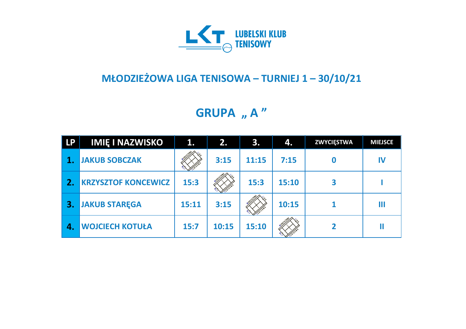

## **MŁODZIEŻOWA LIGA TENISOWA – TURNIEJ 1 – 30/10/21**

**GRUPA** "A"

| <b>LP</b>        | <b>IMIE I NAZWISKO</b>     | 1.    | 2.    | 3.    | 4.    | <b>ZWYCIĘSTWA</b> | <b>MIEJSCE</b> |
|------------------|----------------------------|-------|-------|-------|-------|-------------------|----------------|
|                  | <b>JAKUB SOBCZAK</b>       |       | 3:15  | 11:15 | 7:15  |                   | IV             |
|                  | <b>KRZYSZTOF KONCEWICZ</b> | 15:3  |       | 15:3  | 15:10 |                   |                |
| З.               | <b>JAKUB STAREGA</b>       | 15:11 | 3:15  |       | 10:15 |                   | Ш              |
| $\boldsymbol{4}$ | <b>WOJCIECH KOTUŁA</b>     | 15:7  | 10:15 | 15:10 |       |                   |                |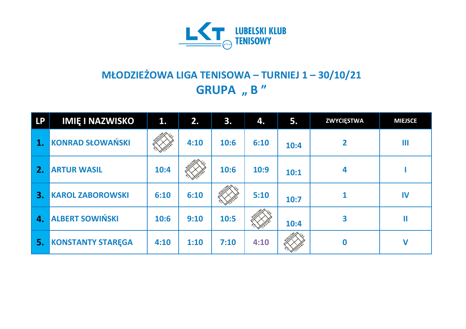

## **MŁODZIEŻOWA LIGA TENISOWA – TURNIEJ 1 – 30/10/21 GRUPA** , **B** "

| <b>LP</b> | <b>IMIĘ I NAZWISKO</b>   | 1.   | 2.   | 3.   | 4.   | 5.   | <b>ZWYCIĘSTWA</b> | <b>MIEJSCE</b> |
|-----------|--------------------------|------|------|------|------|------|-------------------|----------------|
| 1.        | <b>KONRAD SŁOWAŃSKI</b>  |      | 4:10 | 10:6 | 6:10 | 10:4 | 2                 | $\mathbf{III}$ |
| 2.        | <b>ARTUR WASIL</b>       | 10:4 |      | 10:6 | 10:9 | 10:1 | 4                 |                |
| 3.        | <b>KAROL ZABOROWSKI</b>  | 6:10 | 6:10 |      | 5:10 | 10:7 |                   | IV             |
| 4.        | <b>ALBERT SOWIŃSKI</b>   | 10:6 | 9:10 | 10:5 |      | 10:4 | 3                 | Ш              |
| 5.        | <b>KONSTANTY STAREGA</b> | 4:10 | 1:10 | 7:10 | 4:10 |      | $\bf{0}$          | $\mathbf V$    |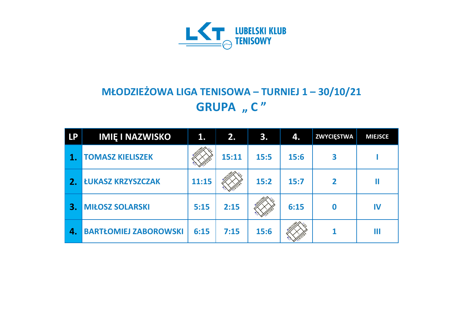

## **MŁODZIEŻOWA LIGA TENISOWA – TURNIEJ 1 – 30/10/21 GRUPA** "  $C''$

| <b>LP</b> | <b>IMIE I NAZWISKO</b>       | 1.    | 2.    | 3.   | 4.   | ZWYCIĘSTWA | <b>MIEJSCE</b> |
|-----------|------------------------------|-------|-------|------|------|------------|----------------|
|           | <b>TOMASZ KIELISZEK</b>      |       | 15:11 | 15:5 | 15:6 |            |                |
| 2.        | <b>LUKASZ KRZYSZCZAK</b>     | 11:15 |       | 15:2 | 15:7 | 2          |                |
| З.        | <b>MIŁOSZ SOLARSKI</b>       | 5:15  | 2:15  |      | 6:15 | 0          | IV             |
| 4.        | <b>BARTŁOMIEJ ZABOROWSKI</b> | 6:15  | 7:15  | 15:6 |      |            | Ш              |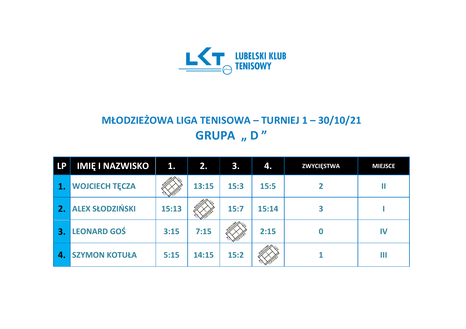

## **MŁODZIEŻOWA LIGA TENISOWA – TURNIEJ 1 – 30/10/21 GRUPA** "D"

| <b>LP</b> | <b>IMIĘ I NAZWISKO</b> | 1.    | 2.    | 3.   | <b>A</b> | <b>ZWYCIĘSTWA</b> | <b>MIEJSCE</b> |
|-----------|------------------------|-------|-------|------|----------|-------------------|----------------|
| 1.        | <b>WOJCIECH TĘCZA</b>  |       | 13:15 | 15:3 | 15:5     |                   |                |
| 2.        | <b>ALEX SŁODZIŃSKI</b> | 15:13 |       | 15:7 | 15:14    |                   |                |
| 3.        | <b>LEONARD GOŚ</b>     | 3:15  | 7:15  |      | 2:15     |                   |                |
| 4.        | <b>SZYMON KOTUŁA</b>   | 5:15  | 14:15 | 15:2 |          |                   | Ш              |